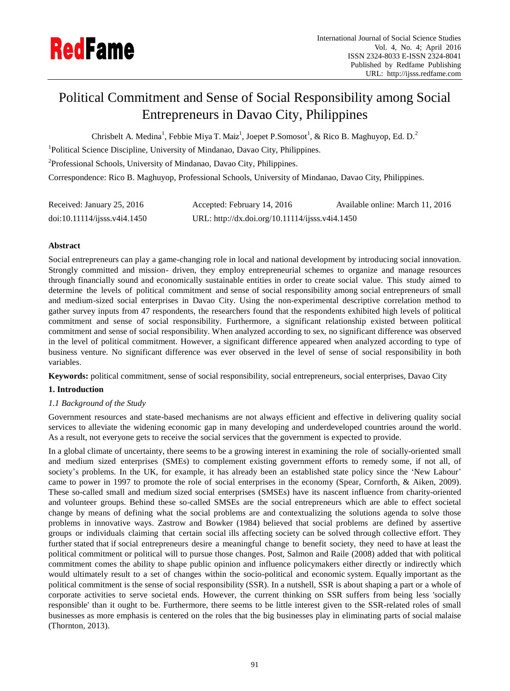

# Political Commitment and Sense of Social Responsibility among Social Entrepreneurs in Davao City, Philippines

Chrisbelt A. Medina<sup>1</sup>, Febbie Miya T. Maiz<sup>1</sup>, Joepet P.Somosot<sup>1</sup>, & Rico B. Maghuyop, Ed. D.<sup>2</sup>

<sup>1</sup>Political Science Discipline, University of Mindanao, Davao City, Philippines.

<sup>2</sup>Professional Schools, University of Mindanao, Davao City, Philippines.

Correspondence: Rico B. Maghuyop, Professional Schools, University of Mindanao, Davao City, Philippines.

| Received: January 25, 2016  | Accepted: February 14, 2016                     | Available online: March 11, 2016 |
|-----------------------------|-------------------------------------------------|----------------------------------|
| doi:10.11114/j;ss.v4i4.1450 | URL: http://dx.doi.org/10.11114/ijsss.v4i4.1450 |                                  |

# **Abstract**

Social entrepreneurs can play a game-changing role in local and national development by introducing social innovation. Strongly committed and mission- driven, they employ entrepreneurial schemes to organize and manage resources through financially sound and economically sustainable entities in order to create social value. This study aimed to determine the levels of political commitment and sense of social responsibility among social entrepreneurs of small and medium-sized social enterprises in Davao City. Using the non-experimental descriptive correlation method to gather survey inputs from 47 respondents, the researchers found that the respondents exhibited high levels of political commitment and sense of social responsibility. Furthermore, a significant relationship existed between political commitment and sense of social responsibility. When analyzed according to sex, no significant difference was observed in the level of political commitment. However, a significant difference appeared when analyzed according to type of business venture. No significant difference was ever observed in the level of sense of social responsibility in both variables.

**Keywords:** political commitment, sense of social responsibility, social entrepreneurs, social enterprises, Davao City

# **1. Introduction**

# *1.1 Background of the Study*

Government resources and state-based mechanisms are not always efficient and effective in delivering quality social services to alleviate the widening economic gap in many developing and underdeveloped countries around the world. As a result, not everyone gets to receive the social services that the government is expected to provide.

In a global climate of uncertainty, there seems to be a growing interest in examining the role of socially-oriented small and medium sized enterprises (SMEs) to complement existing government efforts to remedy some, if not all, of society's problems. In the UK, for example, it has already been an established state policy since the 'New Labour' came to power in 1997 to promote the role of social enterprises in the economy (Spear, Cornforth, & Aiken, 2009). These so-called small and medium sized social enterprises (SMSEs) have its nascent influence from charity-oriented and volunteer groups. Behind these so-called SMSEs are the social entrepreneurs which are able to effect societal change by means of defining what the social problems are and contextualizing the solutions agenda to solve those problems in innovative ways. Zastrow and Bowker (1984) believed that social problems are defined by assertive groups or individuals claiming that certain social ills affecting society can be solved through collective effort. They further stated that if social entrepreneurs desire a meaningful change to benefit society, they need to have at least the political commitment or political will to pursue those changes. Post, Salmon and Raile (2008) added that with political commitment comes the ability to shape public opinion and influence policymakers either directly or indirectly which would ultimately result to a set of changes within the socio-political and economic system. Equally important as the political commitment is the sense of social responsibility (SSR). In a nutshell, SSR is about shaping a part or a whole of corporate activities to serve societal ends. However, the current thinking on SSR suffers from being less 'socially responsible' than it ought to be. Furthermore, there seems to be little interest given to the SSR-related roles of small businesses as more emphasis is centered on the roles that the big businesses play in eliminating parts of social malaise (Thornton, 2013).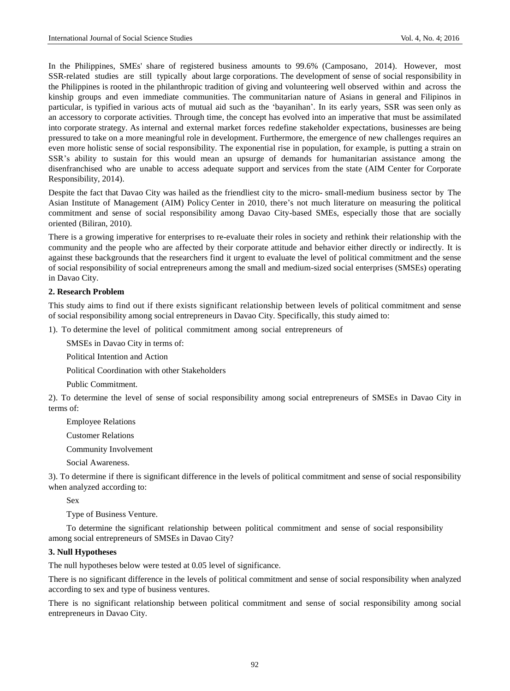In the Philippines, SMEs' share of registered business amounts to 99.6% (Camposano, 2014). However, most SSR-related studies are still typically about large corporations. The development of sense of social responsibility in the Philippines is rooted in the philanthropic tradition of giving and volunteering well observed within and across the kinship groups and even immediate communities. The communitarian nature of Asians in general and Filipinos in particular, is typified in various acts of mutual aid such as the 'bayanihan'. In its early years, SSR was seen only as an accessory to corporate activities. Through time, the concept has evolved into an imperative that must be assimilated into corporate strategy. As internal and external market forces redefine stakeholder expectations, businesses are being pressured to take on a more meaningful role in development. Furthermore, the emergence of new challenges requires an even more holistic sense of social responsibility. The exponential rise in population, for example, is putting a strain on SSR's ability to sustain for this would mean an upsurge of demands for humanitarian assistance among the disenfranchised who are unable to access adequate support and services from the state (AIM Center for Corporate Responsibility, 2014).

Despite the fact that Davao City was hailed as the friendliest city to the micro- small-medium business sector by The Asian Institute of Management (AIM) Policy Center in 2010, there's not much literature on measuring the political commitment and sense of social responsibility among Davao City-based SMEs, especially those that are socially oriented (Biliran, 2010).

There is a growing imperative for enterprises to re-evaluate their roles in society and rethink their relationship with the community and the people who are affected by their corporate attitude and behavior either directly or indirectly. It is against these backgrounds that the researchers find it urgent to evaluate the level of political commitment and the sense of social responsibility of social entrepreneurs among the small and medium-sized social enterprises (SMSEs) operating in Davao City.

#### **2. Research Problem**

This study aims to find out if there exists significant relationship between levels of political commitment and sense of social responsibility among social entrepreneurs in Davao City. Specifically, this study aimed to:

1). To determine the level of political commitment among social entrepreneurs of

SMSEs in Davao City in terms of:

Political Intention and Action

Political Coordination with other Stakeholders

Public Commitment.

2). To determine the level of sense of social responsibility among social entrepreneurs of SMSEs in Davao City in terms of:

Employee Relations

Customer Relations

Community Involvement

Social Awareness.

3). To determine if there is significant difference in the levels of political commitment and sense of social responsibility when analyzed according to:

Sex

Type of Business Venture.

To determine the significant relationship between political commitment and sense of social responsibility among social entrepreneurs of SMSEs in Davao City?

## **3. Null Hypotheses**

The null hypotheses below were tested at 0.05 level of significance.

There is no significant difference in the levels of political commitment and sense of social responsibility when analyzed according to sex and type of business ventures.

There is no significant relationship between political commitment and sense of social responsibility among social entrepreneurs in Davao City.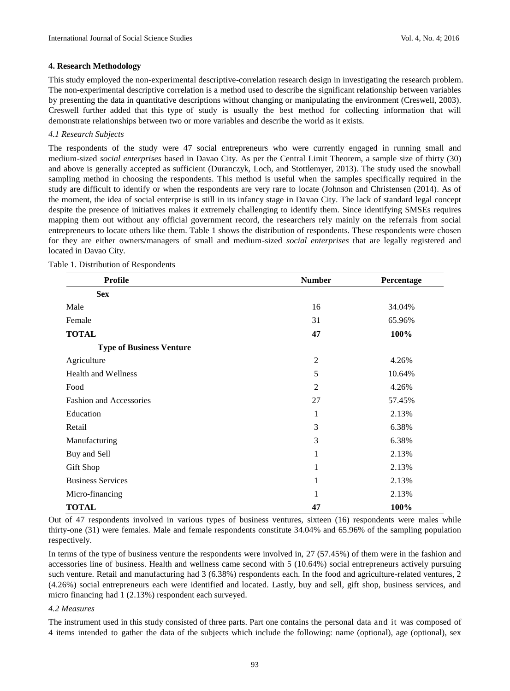#### **4. Research Methodology**

This study employed the non-experimental descriptive-correlation research design in investigating the research problem. The non-experimental descriptive correlation is a method used to describe the significant relationship between variables by presenting the data in quantitative descriptions without changing or manipulating the environment (Creswell, 2003). Creswell further added that this type of study is usually the best method for collecting information that will demonstrate relationships between two or more variables and describe the world as it exists.

#### *4.1 Research Subjects*

The respondents of the study were 47 social entrepreneurs who were currently engaged in running small and medium-sized *social enterprises* based in Davao City. As per the Central Limit Theorem, a sample size of thirty (30) and above is generally accepted as sufficient (Duranczyk, Loch, and Stottlemyer, 2013). The study used the snowball sampling method in choosing the respondents. This method is useful when the samples specifically required in the study are difficult to identify or when the respondents are very rare to locate (Johnson and Christensen (2014). As of the moment, the idea of social enterprise is still in its infancy stage in Davao City. The lack of standard legal concept despite the presence of initiatives makes it extremely challenging to identify them. Since identifying SMSEs requires mapping them out without any official government record, the researchers rely mainly on the referrals from social entrepreneurs to locate others like them. Table 1 shows the distribution of respondents. These respondents were chosen for they are either owners/managers of small and medium-sized *social enterprises* that are legally registered and located in Davao City.

| <b>Profile</b>                  | <b>Number</b>  | Percentage |
|---------------------------------|----------------|------------|
| <b>Sex</b>                      |                |            |
| Male                            | 16             | 34.04%     |
| Female                          | 31             | 65.96%     |
| <b>TOTAL</b>                    | 47             | 100%       |
| <b>Type of Business Venture</b> |                |            |
| Agriculture                     | $\overline{2}$ | 4.26%      |
| <b>Health and Wellness</b>      | 5              | 10.64%     |
| Food                            | $\overline{2}$ | 4.26%      |
| <b>Fashion and Accessories</b>  | 27             | 57.45%     |
| Education                       | $\mathbf 1$    | 2.13%      |
| Retail                          | 3              | 6.38%      |
| Manufacturing                   | 3              | 6.38%      |
| Buy and Sell                    | 1              | 2.13%      |
| Gift Shop                       | 1              | 2.13%      |
| <b>Business Services</b>        | $\mathbf 1$    | 2.13%      |
| Micro-financing                 | 1              | 2.13%      |
| <b>TOTAL</b>                    | 47             | 100%       |

Table 1. Distribution of Respondents

Out of 47 respondents involved in various types of business ventures, sixteen (16) respondents were males while thirty-one (31) were females. Male and female respondents constitute 34.04% and 65.96% of the sampling population respectively.

In terms of the type of business venture the respondents were involved in, 27 (57.45%) of them were in the fashion and accessories line of business. Health and wellness came second with 5 (10.64%) social entrepreneurs actively pursuing such venture. Retail and manufacturing had 3 (6.38%) respondents each. In the food and agriculture-related ventures, 2 (4.26%) social entrepreneurs each were identified and located. Lastly, buy and sell, gift shop, business services, and micro financing had 1 (2.13%) respondent each surveyed.

#### *4.2 Measures*

The instrument used in this study consisted of three parts. Part one contains the personal data and it was composed of 4 items intended to gather the data of the subjects which include the following: name (optional), age (optional), sex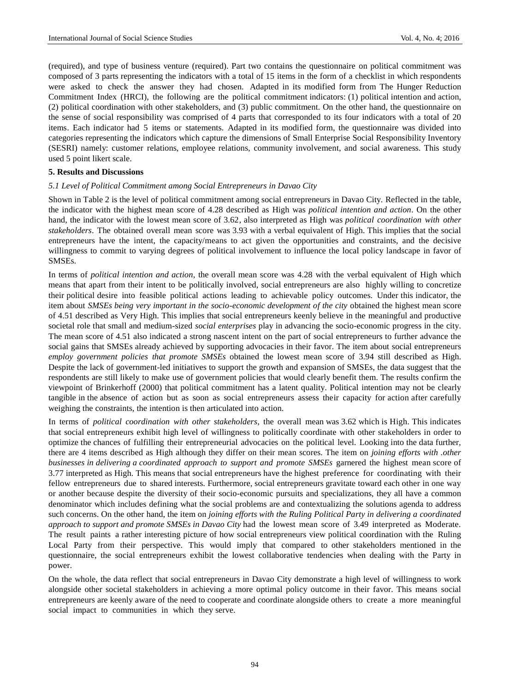(required), and type of business venture (required). Part two contains the questionnaire on political commitment was composed of 3 parts representing the indicators with a total of 15 items in the form of a checklist in which respondents were asked to check the answer they had chosen. Adapted in its modified form from The Hunger Reduction Commitment Index (HRCI), the following are the political commitment indicators: (1) political intention and action, (2) political coordination with other stakeholders, and (3) public commitment. On the other hand, the questionnaire on the sense of social responsibility was comprised of 4 parts that corresponded to its four indicators with a total of 20 items. Each indicator had 5 items or statements. Adapted in its modified form, the questionnaire was divided into categories representing the indicators which capture the dimensions of Small Enterprise Social Responsibility Inventory (SESRI) namely: customer relations, employee relations, community involvement, and social awareness. This study used 5 point likert scale.

#### **5. Results and Discussions**

#### *5.1 Level of Political Commitment among Social Entrepreneurs in Davao City*

Shown in Table 2 is the level of political commitment among social entrepreneurs in Davao City. Reflected in the table, the indicator with the highest mean score of 4.28 described as High was *political intention and action*. On the other hand, the indicator with the lowest mean score of 3.62, also interpreted as High was *political coordination with other stakeholders*. The obtained overall mean score was 3.93 with a verbal equivalent of High. This implies that the social entrepreneurs have the intent, the capacity/means to act given the opportunities and constraints, and the decisive willingness to commit to varying degrees of political involvement to influence the local policy landscape in favor of SMSEs.

In terms of *political intention and action*, the overall mean score was 4.28 with the verbal equivalent of High which means that apart from their intent to be politically involved, social entrepreneurs are also highly willing to concretize their political desire into feasible political actions leading to achievable policy outcomes. Under this indicator, the item about *SMSEs being very important in the socio-economic development of the city* obtained the highest mean score of 4.51 described as Very High. This implies that social entrepreneurs keenly believe in the meaningful and productive societal role that small and medium-sized *social enterprises* play in advancing the socio-economic progress in the city. The mean score of 4.51 also indicated a strong nascent intent on the part of social entrepreneurs to further advance the social gains that SMSEs already achieved by supporting advocacies in their favor. The item about social entrepreneurs *employ government policies that promote SMSEs* obtained the lowest mean score of 3.94 still described as High. Despite the lack of government-led initiatives to support the growth and expansion of SMSEs, the data suggest that the respondents are still likely to make use of government policies that would clearly benefit them. The results confirm the viewpoint of Brinkerhoff (2000) that political commitment has a latent quality. Political intention may not be clearly tangible in the absence of action but as soon as social entrepreneurs assess their capacity for action after carefully weighing the constraints, the intention is then articulated into action.

In terms of *political coordination with other stakeholders*, the overall mean was 3.62 which is High. This indicates that social entrepreneurs exhibit high level of willingness to politically coordinate with other stakeholders in order to optimize the chances of fulfilling their entrepreneurial advocacies on the political level. Looking into the data further, there are 4 items described as High although they differ on their mean scores. The item on *joining efforts with .other businesses in delivering a coordinated approach to support and promote SMSEs* garnered the highest mean score of 3.77 interpreted as High. This means that social entrepreneurs have the highest preference for coordinating with their fellow entrepreneurs due to shared interests. Furthermore, social entrepreneurs gravitate toward each other in one way or another because despite the diversity of their socio-economic pursuits and specializations, they all have a common denominator which includes defining what the social problems are and contextualizing the solutions agenda to address such concerns. On the other hand, the item on *joining efforts with the Ruling Political Party in delivering a coordinated approach to support and promote SMSEs in Davao City* had the lowest mean score of 3.49 interpreted as Moderate. The result paints a rather interesting picture of how social entrepreneurs view political coordination with the Ruling Local Party from their perspective. This would imply that compared to other stakeholders mentioned in the questionnaire, the social entrepreneurs exhibit the lowest collaborative tendencies when dealing with the Party in power.

On the whole, the data reflect that social entrepreneurs in Davao City demonstrate a high level of willingness to work alongside other societal stakeholders in achieving a more optimal policy outcome in their favor. This means social entrepreneurs are keenly aware of the need to cooperate and coordinate alongside others to create a more meaningful social impact to communities in which they serve.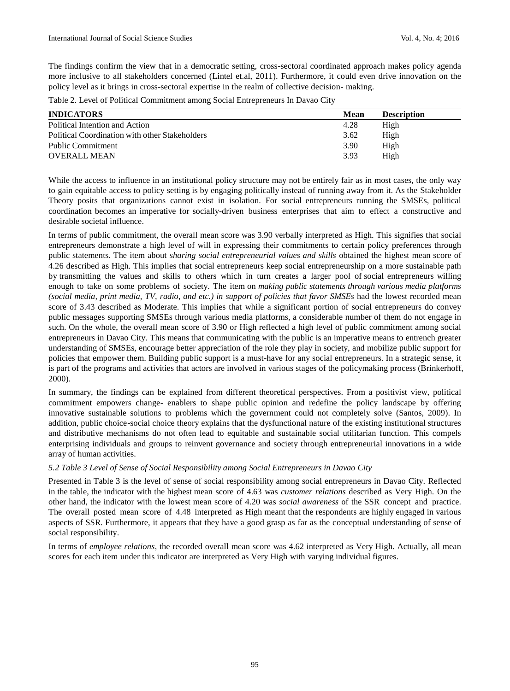The findings confirm the view that in a democratic setting, cross-sectoral coordinated approach makes policy agenda more inclusive to all stakeholders concerned (Lintel et.al, 2011). Furthermore, it could even drive innovation on the policy level as it brings in cross-sectoral expertise in the realm of collective decision- making.

|  | Table 2. Level of Political Commitment among Social Entrepreneurs In Davao City |
|--|---------------------------------------------------------------------------------|
|  |                                                                                 |

| <b>INDICATORS</b>                              | Mean | <b>Description</b> |
|------------------------------------------------|------|--------------------|
| Political Intention and Action                 | 4.28 | High               |
| Political Coordination with other Stakeholders | 3.62 | High               |
| Public Commitment                              | 3.90 | High               |
| <b>OVERALL MEAN</b>                            | 3.93 | High               |

While the access to influence in an institutional policy structure may not be entirely fair as in most cases, the only way to gain equitable access to policy setting is by engaging politically instead of running away from it. As the Stakeholder Theory posits that organizations cannot exist in isolation. For social entrepreneurs running the SMSEs, political coordination becomes an imperative for socially-driven business enterprises that aim to effect a constructive and desirable societal influence.

In terms of public commitment, the overall mean score was 3.90 verbally interpreted as High. This signifies that social entrepreneurs demonstrate a high level of will in expressing their commitments to certain policy preferences through public statements. The item about *sharing social entrepreneurial values and skills* obtained the highest mean score of 4.26 described as High. This implies that social entrepreneurs keep social entrepreneurship on a more sustainable path by transmitting the values and skills to others which in turn creates a larger pool of social entrepreneurs willing enough to take on some problems of society. The item on *making public statements through various media platforms (social media, print media, TV, radio, and etc.) in support of policies that favor SMSEs* had the lowest recorded mean score of 3.43 described as Moderate. This implies that while a significant portion of social entrepreneurs do convey public messages supporting SMSEs through various media platforms, a considerable number of them do not engage in such. On the whole, the overall mean score of 3.90 or High reflected a high level of public commitment among social entrepreneurs in Davao City. This means that communicating with the public is an imperative means to entrench greater understanding of SMSEs, encourage better appreciation of the role they play in society, and mobilize public support for policies that empower them. Building public support is a must-have for any social entrepreneurs. In a strategic sense, it is part of the programs and activities that actors are involved in various stages of the policymaking process (Brinkerhoff, 2000).

In summary, the findings can be explained from different theoretical perspectives. From a positivist view, political commitment empowers change- enablers to shape public opinion and redefine the policy landscape by offering innovative sustainable solutions to problems which the government could not completely solve (Santos, 2009). In addition, public choice-social choice theory explains that the dysfunctional nature of the existing institutional structures and distributive mechanisms do not often lead to equitable and sustainable social utilitarian function. This compels enterprising individuals and groups to reinvent governance and society through entrepreneurial innovations in a wide array of human activities.

# *5.2 Table 3 Level of Sense of Social Responsibility among Social Entrepreneurs in Davao City*

Presented in Table 3 is the level of sense of social responsibility among social entrepreneurs in Davao City. Reflected in the table, the indicator with the highest mean score of 4.63 was *customer relations* described as Very High. On the other hand, the indicator with the lowest mean score of 4.20 was *social awareness* of the SSR concept and practice. The overall posted mean score of 4.48 interpreted as High meant that the respondents are highly engaged in various aspects of SSR. Furthermore, it appears that they have a good grasp as far as the conceptual understanding of sense of social responsibility.

In terms of *employee relations*, the recorded overall mean score was 4.62 interpreted as Very High. Actually, all mean scores for each item under this indicator are interpreted as Very High with varying individual figures.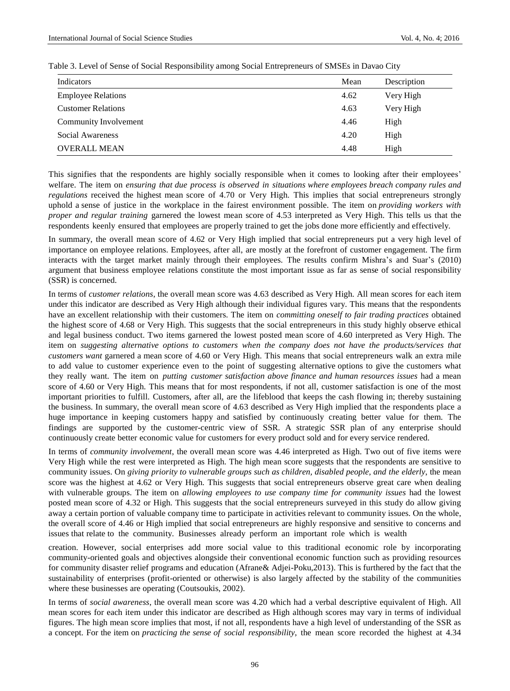| Indicators                | Mean | Description |
|---------------------------|------|-------------|
| <b>Employee Relations</b> | 4.62 | Very High   |
| <b>Customer Relations</b> | 4.63 | Very High   |
| Community Involvement     | 4.46 | High        |
| Social Awareness          | 4.20 | High        |
| <b>OVERALL MEAN</b>       | 4.48 | High        |

#### Table 3. Level of Sense of Social Responsibility among Social Entrepreneurs of SMSEs in Davao City

This signifies that the respondents are highly socially responsible when it comes to looking after their employees' welfare. The item on *ensuring that due process is observed in situations where employees breach company rules and regulations* received the highest mean score of 4.70 or Very High. This implies that social entrepreneurs strongly uphold a sense of justice in the workplace in the fairest environment possible. The item on *providing workers with proper and regular training* garnered the lowest mean score of 4.53 interpreted as Very High. This tells us that the respondents keenly ensured that employees are properly trained to get the jobs done more efficiently and effectively.

In summary, the overall mean score of 4.62 or Very High implied that social entrepreneurs put a very high level of importance on employee relations. Employees, after all, are mostly at the forefront of customer engagement. The firm interacts with the target market mainly through their employees. The results confirm Mishra's and Suar's (2010) argument that business employee relations constitute the most important issue as far as sense of social responsibility (SSR) is concerned.

In terms of *customer relations*, the overall mean score was 4.63 described as Very High. All mean scores for each item under this indicator are described as Very High although their individual figures vary. This means that the respondents have an excellent relationship with their customers. The item on *committing oneself to fair trading practices* obtained the highest score of 4.68 or Very High. This suggests that the social entrepreneurs in this study highly observe ethical and legal business conduct. Two items garnered the lowest posted mean score of 4.60 interpreted as Very High. The item on *suggesting alternative options to customers when the company does not have the products/services that customers want* garnered a mean score of 4.60 or Very High. This means that social entrepreneurs walk an extra mile to add value to customer experience even to the point of suggesting alternative options to give the customers what they really want. The item on *putting customer satisfaction above finance and human resources issues* had a mean score of 4.60 or Very High. This means that for most respondents, if not all, customer satisfaction is one of the most important priorities to fulfill. Customers, after all, are the lifeblood that keeps the cash flowing in; thereby sustaining the business. In summary, the overall mean score of 4.63 described as Very High implied that the respondents place a huge importance in keeping customers happy and satisfied by continuously creating better value for them. The findings are supported by the customer-centric view of SSR. A strategic SSR plan of any enterprise should continuously create better economic value for customers for every product sold and for every service rendered.

In terms of *community involvement*, the overall mean score was 4.46 interpreted as High. Two out of five items were Very High while the rest were interpreted as High. The high mean score suggests that the respondents are sensitive to community issues. On *giving priority to vulnerable groups such as children, disabled people, and the elderly*, the mean score was the highest at 4.62 or Very High. This suggests that social entrepreneurs observe great care when dealing with vulnerable groups. The item on *allowing employees to use company time for community issues* had the lowest posted mean score of 4.32 or High. This suggests that the social entrepreneurs surveyed in this study do allow giving away a certain portion of valuable company time to participate in activities relevant to community issues. On the whole, the overall score of 4.46 or High implied that social entrepreneurs are highly responsive and sensitive to concerns and issues that relate to the community. Businesses already perform an important role which is wealth

creation. However, social enterprises add more social value to this traditional economic role by incorporating community-oriented goals and objectives alongside their conventional economic function such as providing resources for community disaster relief programs and education (Afrane& Adjei-Poku,2013). This is furthered by the fact that the sustainability of enterprises (profit-oriented or otherwise) is also largely affected by the stability of the communities where these businesses are operating (Coutsoukis, 2002).

In terms of *social awareness*, the overall mean score was 4.20 which had a verbal descriptive equivalent of High. All mean scores for each item under this indicator are described as High although scores may vary in terms of individual figures. The high mean score implies that most, if not all, respondents have a high level of understanding of the SSR as a concept. For the item on *practicing the sense of social responsibility*, the mean score recorded the highest at 4.34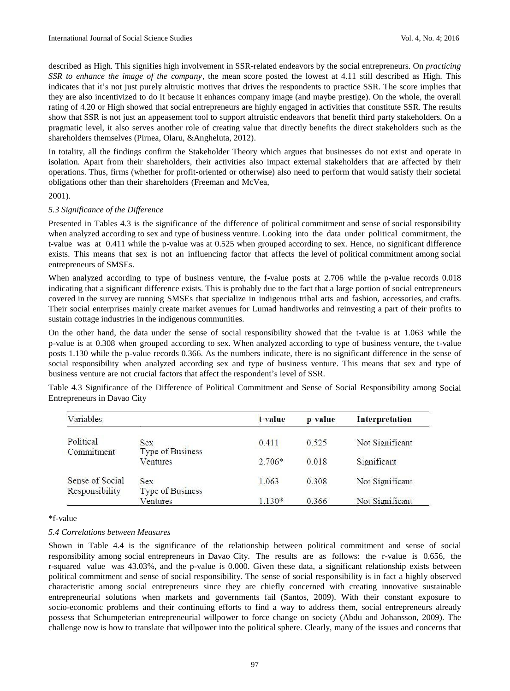described as High. This signifies high involvement in SSR-related endeavors by the social entrepreneurs. On *practicing SSR to enhance the image of the company*, the mean score posted the lowest at 4.11 still described as High. This indicates that it's not just purely altruistic motives that drives the respondents to practice SSR. The score implies that they are also incentivized to do it because it enhances company image (and maybe prestige). On the whole, the overall rating of 4.20 or High showed that social entrepreneurs are highly engaged in activities that constitute SSR. The results show that SSR is not just an appeasement tool to support altruistic endeavors that benefit third party stakeholders. On a pragmatic level, it also serves another role of creating value that directly benefits the direct stakeholders such as the shareholders themselves (Pirnea, Olaru, &Angheluta, 2012).

In totality, all the findings confirm the Stakeholder Theory which argues that businesses do not exist and operate in isolation. Apart from their shareholders, their activities also impact external stakeholders that are affected by their operations. Thus, firms (whether for profit-oriented or otherwise) also need to perform that would satisfy their societal obligations other than their shareholders (Freeman and McVea,

# 2001).

#### *5.3 Significance of the Difference*

Presented in Tables 4.3 is the significance of the difference of political commitment and sense of social responsibility when analyzed according to sex and type of business venture. Looking into the data under political commitment, the t-value was at 0.411 while the p-value was at 0.525 when grouped according to sex. Hence, no significant difference exists. This means that sex is not an influencing factor that affects the level of political commitment among social entrepreneurs of SMSEs.

When analyzed according to type of business venture, the f-value posts at 2.706 while the p-value records 0.018 indicating that a significant difference exists. This is probably due to the fact that a large portion of social entrepreneurs covered in the survey are running SMSEs that specialize in indigenous tribal arts and fashion, accessories, and crafts. Their social enterprises mainly create market avenues for Lumad handiworks and reinvesting a part of their profits to sustain cottage industries in the indigenous communities.

On the other hand, the data under the sense of social responsibility showed that the t-value is at 1.063 while the p-value is at 0.308 when grouped according to sex. When analyzed according to type of business venture, the t-value posts 1.130 while the p-value records 0.366. As the numbers indicate, there is no significant difference in the sense of social responsibility when analyzed according sex and type of business venture. This means that sex and type of business venture are not crucial factors that affect the respondent's level of SSR.

Table 4.3 Significance of the Difference of Political Commitment and Sense of Social Responsibility among Social Entrepreneurs in Davao City

| Variables                         |                                | t-value  | p-value | Interpretation  |
|-----------------------------------|--------------------------------|----------|---------|-----------------|
| Political<br>Commitment           | <b>Sex</b><br>Type of Business | 0.411    | 0.525   | Not Significant |
|                                   | Ventures                       | $2.706*$ | 0.018   | Significant     |
| Sense of Social<br>Responsibility | <b>Sex</b><br>Type of Business | 1.063    | 0.308   | Not Significant |
|                                   | Ventures                       | $1.130*$ | 0.366   | Not Significant |

\*f-value

#### *5.4 Correlations between Measures*

Shown in Table 4.4 is the significance of the relationship between political commitment and sense of social responsibility among social entrepreneurs in Davao City. The results are as follows: the r-value is 0.656, the r-squared value was 43.03%, and the p-value is 0.000. Given these data, a significant relationship exists between political commitment and sense of social responsibility. The sense of social responsibility is in fact a highly observed characteristic among social entrepreneurs since they are chiefly concerned with creating innovative sustainable entrepreneurial solutions when markets and governments fail (Santos, 2009). With their constant exposure to socio-economic problems and their continuing efforts to find a way to address them, social entrepreneurs already possess that Schumpeterian entrepreneurial willpower to force change on society (Abdu and Johansson, 2009). The challenge now is how to translate that willpower into the political sphere. Clearly, many of the issues and concerns that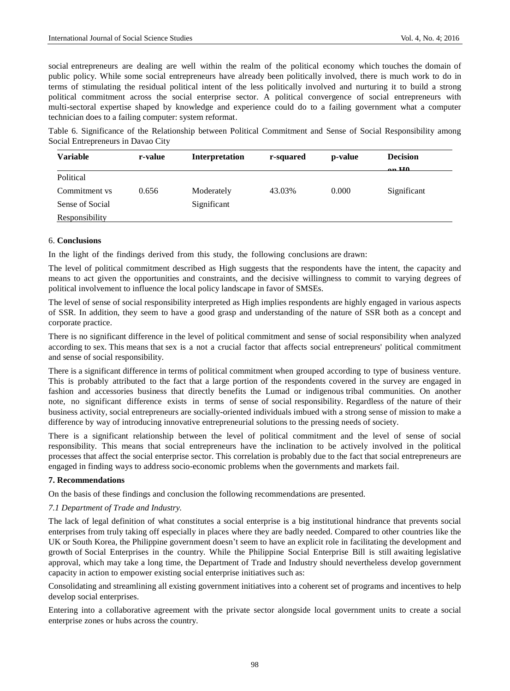social entrepreneurs are dealing are well within the realm of the political economy which touches the domain of public policy. While some social entrepreneurs have already been politically involved, there is much work to do in terms of stimulating the residual political intent of the less politically involved and nurturing it to build a strong political commitment across the social enterprise sector. A political convergence of social entrepreneurs with multi-sectoral expertise shaped by knowledge and experience could do to a failing government what a computer technician does to a failing computer: system reformat.

Table 6. Significance of the Relationship between Political Commitment and Sense of Social Responsibility among Social Entrepreneurs in Davao City

| Variable        | r-value | Interpretation | r-squared | p-value | <b>Decision</b><br>$\sim$ UA |
|-----------------|---------|----------------|-----------|---------|------------------------------|
| Political       |         |                |           |         |                              |
| Commitment vs   | 0.656   | Moderately     | 43.03%    | 0.000   | Significant                  |
| Sense of Social |         | Significant    |           |         |                              |
| Responsibility  |         |                |           |         |                              |

#### 6. **Conclusions**

In the light of the findings derived from this study, the following conclusions are drawn:

The level of political commitment described as High suggests that the respondents have the intent, the capacity and means to act given the opportunities and constraints, and the decisive willingness to commit to varying degrees of political involvement to influence the local policy landscape in favor of SMSEs.

The level of sense of social responsibility interpreted as High implies respondents are highly engaged in various aspects of SSR. In addition, they seem to have a good grasp and understanding of the nature of SSR both as a concept and corporate practice.

There is no significant difference in the level of political commitment and sense of social responsibility when analyzed according to sex. This means that sex is a not a crucial factor that affects social entrepreneurs' political commitment and sense of social responsibility.

There is a significant difference in terms of political commitment when grouped according to type of business venture. This is probably attributed to the fact that a large portion of the respondents covered in the survey are engaged in fashion and accessories business that directly benefits the Lumad or indigenous tribal communities. On another note, no significant difference exists in terms of sense of social responsibility. Regardless of the nature of their business activity, social entrepreneurs are socially-oriented individuals imbued with a strong sense of mission to make a difference by way of introducing innovative entrepreneurial solutions to the pressing needs of society.

There is a significant relationship between the level of political commitment and the level of sense of social responsibility. This means that social entrepreneurs have the inclination to be actively involved in the political processes that affect the social enterprise sector. This correlation is probably due to the fact that social entrepreneurs are engaged in finding ways to address socio-economic problems when the governments and markets fail.

# **7. Recommendations**

On the basis of these findings and conclusion the following recommendations are presented.

# *7.1 Department of Trade and Industry.*

The lack of legal definition of what constitutes a social enterprise is a big institutional hindrance that prevents social enterprises from truly taking off especially in places where they are badly needed. Compared to other countries like the UK or South Korea, the Philippine government doesn't seem to have an explicit role in facilitating the development and growth of Social Enterprises in the country. While the Philippine Social Enterprise Bill is still awaiting legislative approval, which may take a long time, the Department of Trade and Industry should nevertheless develop government capacity in action to empower existing social enterprise initiatives such as:

Consolidating and streamlining all existing government initiatives into a coherent set of programs and incentives to help develop social enterprises.

Entering into a collaborative agreement with the private sector alongside local government units to create a social enterprise zones or hubs across the country.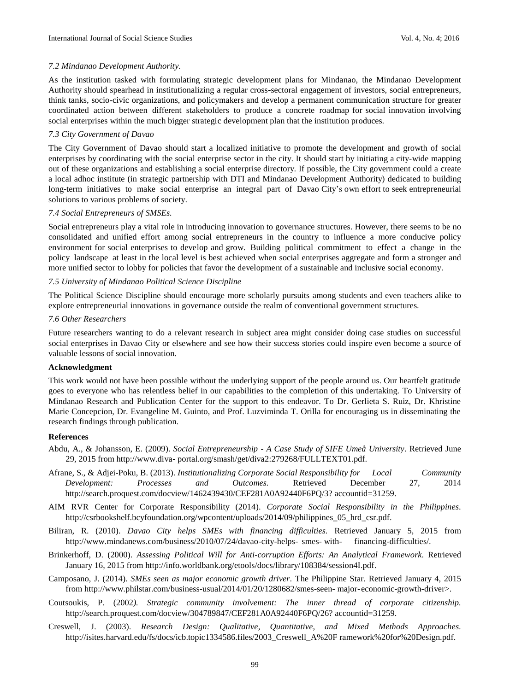## *7.2 Mindanao Development Authority.*

As the institution tasked with formulating strategic development plans for Mindanao, the Mindanao Development Authority should spearhead in institutionalizing a regular cross-sectoral engagement of investors, social entrepreneurs, think tanks, socio-civic organizations, and policymakers and develop a permanent communication structure for greater coordinated action between different stakeholders to produce a concrete roadmap for social innovation involving social enterprises within the much bigger strategic development plan that the institution produces.

# *7.3 City Government of Davao*

The City Government of Davao should start a localized initiative to promote the development and growth of social enterprises by coordinating with the social enterprise sector in the city. It should start by initiating a city-wide mapping out of these organizations and establishing a social enterprise directory. If possible, the City government could a create a local adhoc institute (in strategic partnership with DTI and Mindanao Development Authority) dedicated to building long-term initiatives to make social enterprise an integral part of Davao City's own effort to seek entrepreneurial solutions to various problems of society.

#### *7.4 Social Entrepreneurs of SMSEs.*

Social entrepreneurs play a vital role in introducing innovation to governance structures. However, there seems to be no consolidated and unified effort among social entrepreneurs in the country to influence a more conducive policy environment for social enterprises to develop and grow. Building political commitment to effect a change in the policy landscape at least in the local level is best achieved when social enterprises aggregate and form a stronger and more unified sector to lobby for policies that favor the development of a sustainable and inclusive social economy.

# *7.5 University of Mindanao Political Science Discipline*

The Political Science Discipline should encourage more scholarly pursuits among students and even teachers alike to explore entrepreneurial innovations in governance outside the realm of conventional government structures.

#### *7.6 Other Researchers*

Future researchers wanting to do a relevant research in subject area might consider doing case studies on successful social enterprises in Davao City or elsewhere and see how their success stories could inspire even become a source of valuable lessons of social innovation.

#### **Acknowledgment**

This work would not have been possible without the underlying support of the people around us. Our heartfelt gratitude goes to everyone who has relentless belief in our capabilities to the completion of this undertaking. To University of Mindanao Research and Publication Center for the support to this endeavor. To Dr. Gerlieta S. Ruiz, Dr. Khristine Marie Concepcion, Dr. Evangeline M. Guinto, and Prof. Luzviminda T. Orilla for encouraging us in disseminating the research findings through publication.

#### **References**

- Abdu, A., & Johansson, E. (2009). *Social Entrepreneurship - A Case Study of SIFE UmeåUniversity*. Retrieved June 29, 2015 from http://www.diva- portal.org/smash/get/diva2:279268/FULLTEXT01.pdf.
- Afrane, S., & Adjei-Poku, B. (2013). *Institutionalizing Corporate Social Responsibility for Local Community Development: Processes and Outcomes.* Retrieved December 27, 201[4](http://search.proquest.com/docview/1462439430/CEF281A0A92440F6PQ/3) [http://search.proquest.com/docview/1462439430/CEF281A0A92440F6PQ/3?](http://search.proquest.com/docview/1462439430/CEF281A0A92440F6PQ/3) accountid=31259.
- AIM RVR Center for Corporate Responsibility (2014). *Corporate Social Responsibility in the Philippines*. http://csrbookshelf.bcyfoundation.org/wpcontent/uploads/2014/09/philippines 05 hrd csr.pdf.
- Biliran, R. (2010). *Davao City helps SMEs with financing difficulties.* Retrieved January 5, 2015 fro[m](http://www.mindanews.com/business/2010/07/24/davao-city-helps-) <http://www.mindanews.com/business/2010/07/24/davao-city-helps-> smes- with- financing-difficulties/.
- Brinkerhoff, D. (2000). *Assessing Political Will for Anti-corruption Efforts: An Analytical Framework*. Retrieved January 16, 2015 from [http://info.worldbank.org/etools/docs/library/108384/session4I.pdf.](http://info.worldbank.org/etools/docs/library/108384/session4I.pdf)
- Camposano, J. (2014). *SMEs seen as major economic growth driver*. The Philippine Star. Retrieved January 4, 2015 from <http://www.philstar.com/business-usual/2014/01/20/1280682/smes-seen-> major-economic-growth-driver>.
- Coutsoukis, P. (2002*). Strategic community involvement: The inner thread of corporate citizenship.* <http://search.proquest.com/docview/304789847/CEF281A0A92440F6PQ/26?> accountid=31259.
- Creswell, J. (2003). *Research Design: Qualitative, Quantitative, and Mixed Methods Approaches*. [http://isites.harvard.edu/fs/docs/icb.topic1334586.files/2003\\_Creswell\\_A%20F](http://isites.harvard.edu/fs/docs/icb.topic1334586.files/2003_Creswell_A%20F) ramework%20for%20Design.pdf.